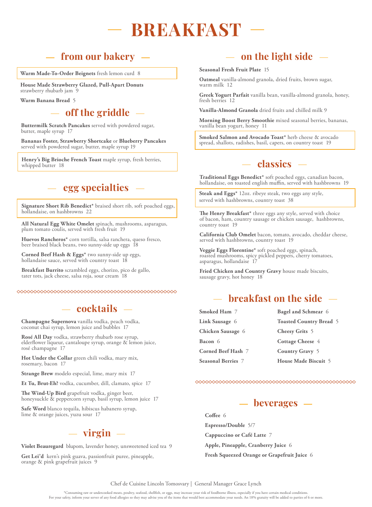## **BREAKFAST**

### **from our bakery**

**Warm Made-To-Order Beignets** fresh lemon curd 8

**House Made Strawberry Glazed, Pull-Apart Donuts**  strawberry rhubarb jam 9

**Warm Banana Bread** 5

#### **off the griddle**

**Buttermilk Scratch Pancakes** served with powdered sugar, butter, maple syrup 17

**Bananas Foster, Strawberry Shortcake** or **Blueberry Pancakes**  served with powdered sugar, butter, maple syrup 19

Henry's Big Brioche French Toast maple syrup, fresh berries, whipped butter 18

#### **egg specialties**

**Signature Short Rib Benedict\*** braised short rib, soft poached eggs, hollandaise, on hashbrowns 22

**All Natural Egg White Omelet** spinach, mushrooms, asparagus, plum tomato coulis, served with fresh fruit 19

**Huevos Rancheros\*** corn tortilla, salsa ranchera, queso fresco, beer braised black beans, two sunny-side up eggs 18

**Corned Beef Hash & Eggs\*** two sunny-side up eggs, hollandaise sauce, served with country toast 18

**Breakfast Burrito** scrambled eggs, chorizo, pico de gallo, tater tots, jack cheese, salsa roja, sour cream 18

#### **cocktails**

**Champagne Supernova** vanilla vodka, peach vodka, coconut chai syrup, lemon juice and bubbles 17

**Rosé All Day** vodka, strawberry rhubarb rose syrup, elderflower liqueur, cantaloupe syrup, orange & lemon juice, rosé champagne 17

**Hot Under the Collar** green chili vodka, mary mix, rosemary, bacon 17

**Strange Brew** modelo especial, lime, mary mix 17

**Et Tu, Brut-Eh?** vodka, cucumber, dill, clamato, spice 17

**The Wind-Up Bird** grapefruit vodka, ginger beer, honeysuckle & peppercorn syrup, basil syrup, lemon juice 17

**Safe Word** blanco tequila, hibiscus habanero syrup, lime & orange juices, yuzu sour 17

#### $-$  virgin  $-$

**Violet Beauregard** blupom, lavender honey, unsweetened iced tea 9

**Get Lei'd** kern's pink guava, passionfruit puree, pineapple, orange & pink grapefruit juices 9

#### **on the light side**

#### **Seasonal Fresh Fruit Plate** 15

**Oatmeal** vanilla-almond granola, dried fruits, brown sugar, warm milk 12

**Greek Yogurt Parfait** vanilla bean, vanilla-almond granola, honey, fresh berries 12

**Vanilla-Almond Granola** dried fruits and chilled milk 9

**Morning Boost Berry Smoothie** mixed seasonal berries, bananas, vanilla bean yogurt, honey 11

**Smoked Salmon and Avocado Toast\*** herb cheese & avocado spread, shallots, radishes, basil, capers, on country toast 19

#### **- classics** -

**Traditional Eggs Benedict\*** soft poached eggs, canadian bacon, hollandaise, on toasted english muffin, served with hashbrowns 19

Steak and Eggs\* 12oz. ribeye steak, two e<br>served with hashbrowns, country toast 38 **Steak and Eggs\*** 12oz. ribeye steak, two eggs any style,

**The Henry Breakfast\*** three eggs any style, served with choice of bacon, ham, country sausage or chicken sausage, hashbrowns, country toast 19

**California Club Omelet** bacon, tomato, avocado, cheddar cheese, served with hashbrowns, country toast 19

**Veggie Eggs Florentine\*** soft poached eggs, spinach, roasted mushrooms, spicy pickled peppers, cherry tomatoes, asparagus, hollandaise 17

**Fried Chicken and Country Gravy** house made biscuits, sausage gravy, hot honey 18

## **breakfast on the side**

**Smoked Ham** 7 **Link Sausage** 6 **Chicken Sausage** 6 **Bacon** 6 **Corned Beef Hash** 7 **Seasonal Berries** 7 **Bagel and Schmear** 6 **Toasted Country Bread** 5 **Cheesy Grits** 5 **Cottage Cheese** 4 **Country Gravy** 5 **House Made Biscuit** 5



**Coffee** 6 **Espresso/Double** 5/7 **Cappuccino or Café Latte** 7 **Apple, Pineapple, Cranberry Juice** 6 **Fresh Squeezed Orange or Grapefruit Juice** 6

#### Chef de Cuisine Lincoln Tomosvary | General Manager Grace Lynch

\*Consuming raw or undercooked meats, poultry, seafood, shellfish, or eggs, may increase your risk of foodborne illness, especially if you have certain medical conditions. For your safety, inform your server of any food allergies so they may advise you of the items that would best accommodate your needs. An 18% gratuity will be added to parties of 6 or more.